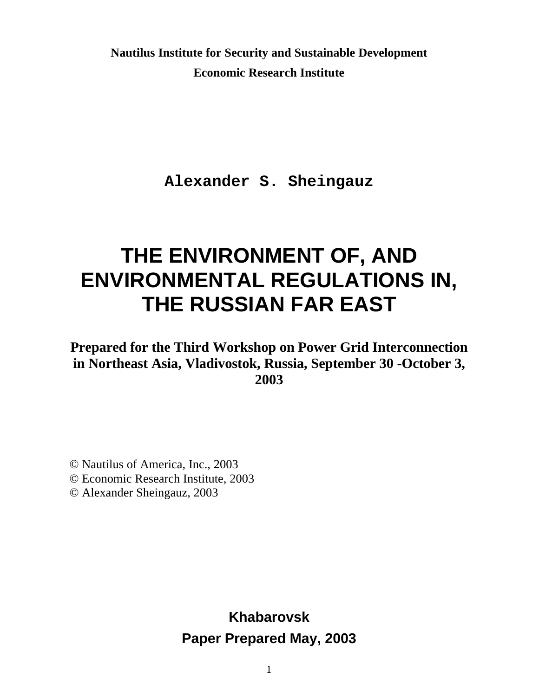**Nautilus Institute for Security and Sustainable Development Economic Research Institute**

**Alexander S. Sheingauz**

# **THE ENVIRONMENT OF, AND ENVIRONMENTAL REGULATIONS IN, THE RUSSIAN FAR EAST**

**Prepared for the Third Workshop on Power Grid Interconnection in Northeast Asia, Vladivostok, Russia, September 30 -October 3, 2003**

© Nautilus of America, Inc., 2003

© Economic Research Institute, 2003

© Alexander Sheingauz, 2003

**Khabarovsk Paper Prepared May, 2003**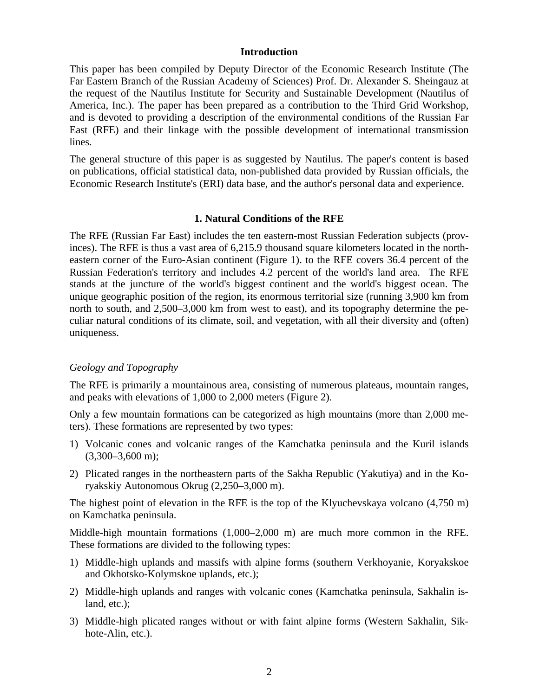#### **Introduction**

This paper has been compiled by Deputy Director of the Economic Research Institute (The Far Eastern Branch of the Russian Academy of Sciences) Prof. Dr. Alexander S. Sheingauz at the request of the Nautilus Institute for Security and Sustainable Development (Nautilus of America, Inc.). The paper has been prepared as a contribution to the Third Grid Workshop, and is devoted to providing a description of the environmental conditions of the Russian Far East (RFE) and their linkage with the possible development of international transmission lines.

The general structure of this paper is as suggested by Nautilus. The paper's content is based on publications, official statistical data, non-published data provided by Russian officials, the Economic Research Institute's (ERI) data base, and the author's personal data and experience.

#### **1. Natural Conditions of the RFE**

The RFE (Russian Far East) includes the ten eastern-most Russian Federation subjects (provinces). The RFE is thus a vast area of 6,215.9 thousand square kilometers located in the northeastern corner of the Euro-Asian continent (Figure 1). to the RFE covers 36.4 percent of the Russian Federation's territory and includes 4.2 percent of the world's land area. The RFE stands at the juncture of the world's biggest continent and the world's biggest ocean. The unique geographic position of the region, its enormous territorial size (running 3,900 km from north to south, and 2,500–3,000 km from west to east), and its topography determine the peculiar natural conditions of its climate, soil, and vegetation, with all their diversity and (often) uniqueness.

#### *Geology and Topography*

The RFE is primarily a mountainous area, consisting of numerous plateaus, mountain ranges, and peaks with elevations of 1,000 to 2,000 meters (Figure 2).

Only a few mountain formations can be categorized as high mountains (more than 2,000 meters). These formations are represented by two types:

- 1) Volcanic cones and volcanic ranges of the Kamchatka peninsula and the Kuril islands  $(3,300-3,600 \text{ m})$ ;
- 2) Plicated ranges in the northeastern parts of the Sakha Republic (Yakutiya) and in the Koryakskiy Autonomous Okrug (2,250–3,000 m).

The highest point of elevation in the RFE is the top of the Klyuchevskaya volcano (4,750 m) on Kamchatka peninsula.

Middle-high mountain formations (1,000–2,000 m) are much more common in the RFE. These formations are divided to the following types:

- 1) Middle-high uplands and massifs with alpine forms (southern Verkhoyanie, Koryakskoe and Okhotsko-Kolymskoe uplands, etc.);
- 2) Middle-high uplands and ranges with volcanic cones (Kamchatka peninsula, Sakhalin island, etc.);
- 3) Middle-high plicated ranges without or with faint alpine forms (Western Sakhalin, Sikhote-Alin, etc.).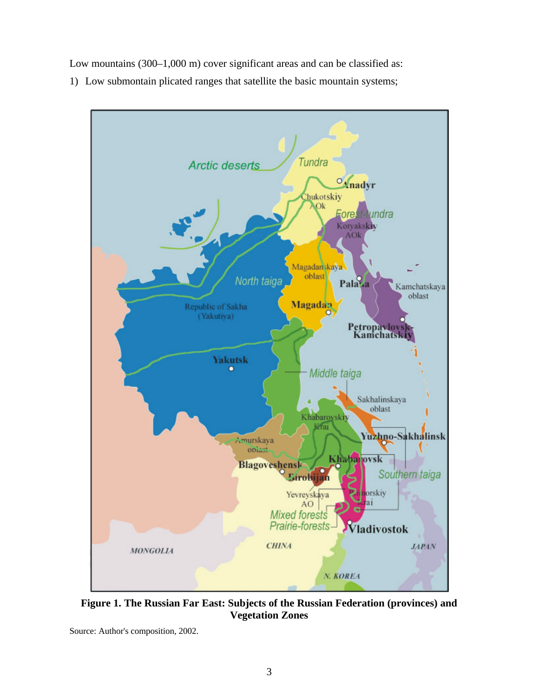Low mountains (300–1,000 m) cover significant areas and can be classified as:

1) Low submontain plicated ranges that satellite the basic mountain systems;



**Figure 1. The Russian Far East: Subjects of the Russian Federation (provinces) and Vegetation Zones**

Source: Author's composition, 2002.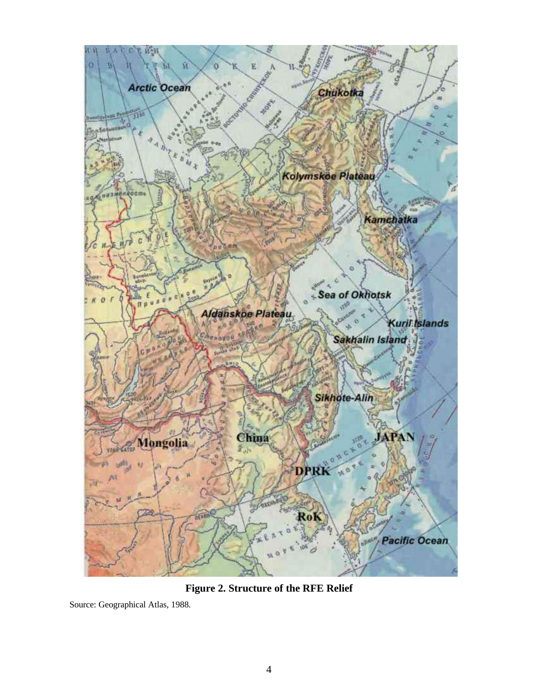

**Figure 2. Structure of the RFE Relief**

Source: Geographical Atlas, 1988.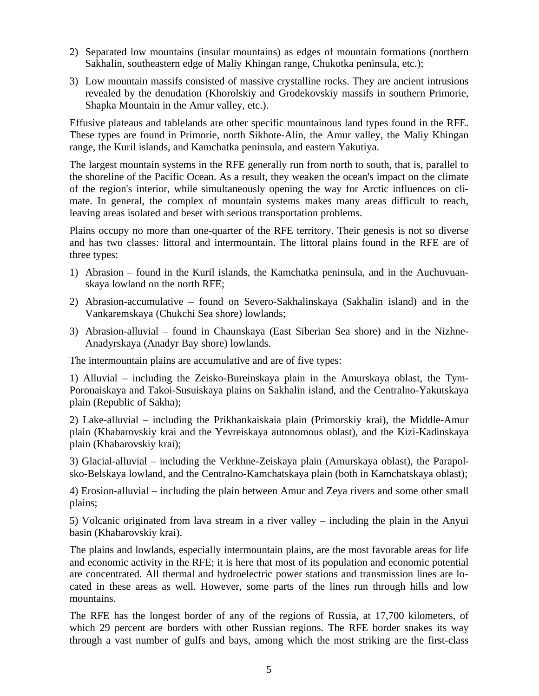- 2) Separated low mountains (insular mountains) as edges of mountain formations (northern Sakhalin, southeastern edge of Maliy Khingan range, Chukotka peninsula, etc.);
- 3) Low mountain massifs consisted of massive crystalline rocks. They are ancient intrusions revealed by the denudation (Khorolskiy and Grodekovskiy massifs in southern Primorie, Shapka Mountain in the Amur valley, etc.).

Effusive plateaus and tablelands are other specific mountainous land types found in the RFE. These types are found in Primorie, north Sikhote-Alin, the Amur valley, the Maliy Khingan range, the Kuril islands, and Kamchatka peninsula, and eastern Yakutiya.

The largest mountain systems in the RFE generally run from north to south, that is, parallel to the shoreline of the Pacific Ocean. As a result, they weaken the ocean's impact on the climate of the region's interior, while simultaneously opening the way for Arctic influences on climate. In general, the complex of mountain systems makes many areas difficult to reach, leaving areas isolated and beset with serious transportation problems.

Plains occupy no more than one-quarter of the RFE territory. Their genesis is not so diverse and has two classes: littoral and intermountain. The littoral plains found in the RFE are of three types:

- 1) Abrasion found in the Kuril islands, the Kamchatka peninsula, and in the Auchuvuanskaya lowland on the north RFE;
- 2) Abrasion-accumulative found on Severo-Sakhalinskaya (Sakhalin island) and in the Vankaremskaya (Chukchi Sea shore) lowlands;
- 3) Abrasion-alluvial found in Chaunskaya (East Siberian Sea shore) and in the Nizhne-Anadyrskaya (Anadyr Bay shore) lowlands.

The intermountain plains are accumulative and are of five types:

1) Alluvial – including the Zeisko-Bureinskaya plain in the Amurskaya oblast, the Tym-Poronaiskaya and Takoi-Susuiskaya plains on Sakhalin island, and the Centralno-Yakutskaya plain (Republic of Sakha);

2) Lake-alluvial – including the Prikhankaiskaia plain (Primorskiy krai), the Middle-Amur plain (Khabarovskiy krai and the Yevreiskaya autonomous oblast), and the Kizi-Kadinskaya plain (Khabarovskiy krai);

3) Glacial-alluvial – including the Verkhne-Zeiskaya plain (Amurskaya oblast), the Parapolsko-Belskaya lowland, and the Centralno-Kamchatskaya plain (both in Kamchatskaya oblast);

4) Erosion-alluvial – including the plain between Amur and Zeya rivers and some other small plains;

5) Volcanic originated from lava stream in a river valley – including the plain in the Anyui basin (Khabarovskiy krai).

The plains and lowlands, especially intermountain plains, are the most favorable areas for life and economic activity in the RFE; it is here that most of its population and economic potential are concentrated. All thermal and hydroelectric power stations and transmission lines are located in these areas as well. However, some parts of the lines run through hills and low mountains.

The RFE has the longest border of any of the regions of Russia, at 17,700 kilometers, of which 29 percent are borders with other Russian regions. The RFE border snakes its way through a vast number of gulfs and bays, among which the most striking are the first-class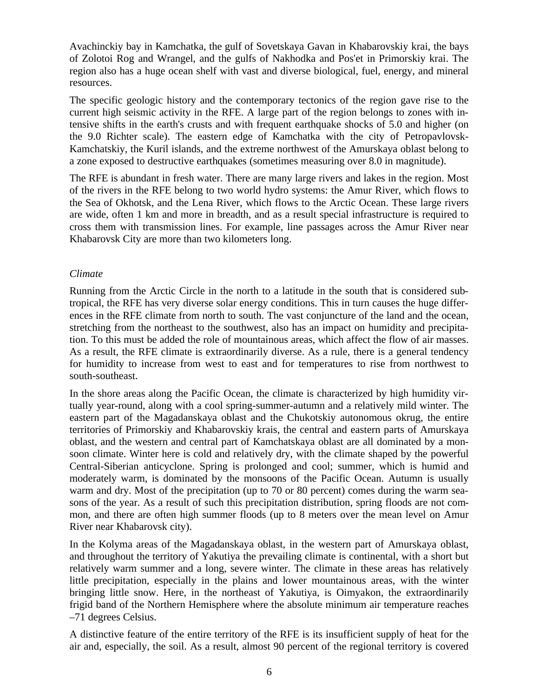Avachinckiy bay in Kamchatka, the gulf of Sovetskaya Gavan in Khabarovskiy krai, the bays of Zolotoi Rog and Wrangel, and the gulfs of Nakhodka and Pos'et in Primorskiy krai. The region also has a huge ocean shelf with vast and diverse biological, fuel, energy, and mineral resources.

The specific geologic history and the contemporary tectonics of the region gave rise to the current high seismic activity in the RFE. A large part of the region belongs to zones with intensive shifts in the earth's crusts and with frequent earthquake shocks of 5.0 and higher (on the 9.0 Richter scale). The eastern edge of Kamchatka with the city of Petropavlovsk-Kamchatskiy, the Kuril islands, and the extreme northwest of the Amurskaya oblast belong to a zone exposed to destructive earthquakes (sometimes measuring over 8.0 in magnitude).

The RFE is abundant in fresh water. There are many large rivers and lakes in the region. Most of the rivers in the RFE belong to two world hydro systems: the Amur River, which flows to the Sea of Okhotsk, and the Lena River, which flows to the Arctic Ocean. These large rivers are wide, often 1 km and more in breadth, and as a result special infrastructure is required to cross them with transmission lines. For example, line passages across the Amur River near Khabarovsk City are more than two kilometers long.

#### *Climate*

Running from the Arctic Circle in the north to a latitude in the south that is considered subtropical, the RFE has very diverse solar energy conditions. This in turn causes the huge differences in the RFE climate from north to south. The vast conjuncture of the land and the ocean, stretching from the northeast to the southwest, also has an impact on humidity and precipitation. To this must be added the role of mountainous areas, which affect the flow of air masses. As a result, the RFE climate is extraordinarily diverse. As a rule, there is a general tendency for humidity to increase from west to east and for temperatures to rise from northwest to south-southeast.

In the shore areas along the Pacific Ocean, the climate is characterized by high humidity virtually year-round, along with a cool spring-summer-autumn and a relatively mild winter. The eastern part of the Magadanskaya oblast and the Chukotskiy autonomous okrug, the entire territories of Primorskiy and Khabarovskiy krais, the central and eastern parts of Amurskaya oblast, and the western and central part of Kamchatskaya oblast are all dominated by a monsoon climate. Winter here is cold and relatively dry, with the climate shaped by the powerful Central-Siberian anticyclone. Spring is prolonged and cool; summer, which is humid and moderately warm, is dominated by the monsoons of the Pacific Ocean. Autumn is usually warm and dry. Most of the precipitation (up to 70 or 80 percent) comes during the warm seasons of the year. As a result of such this precipitation distribution, spring floods are not common, and there are often high summer floods (up to 8 meters over the mean level on Amur River near Khabarovsk city).

In the Kolyma areas of the Magadanskaya oblast, in the western part of Amurskaya oblast, and throughout the territory of Yakutiya the prevailing climate is continental, with a short but relatively warm summer and a long, severe winter. The climate in these areas has relatively little precipitation, especially in the plains and lower mountainous areas, with the winter bringing little snow. Here, in the northeast of Yakutiya, is Oimyakon, the extraordinarily frigid band of the Northern Hemisphere where the absolute minimum air temperature reaches –71 degrees Celsius.

A distinctive feature of the entire territory of the RFE is its insufficient supply of heat for the air and, especially, the soil. As a result, almost 90 percent of the regional territory is covered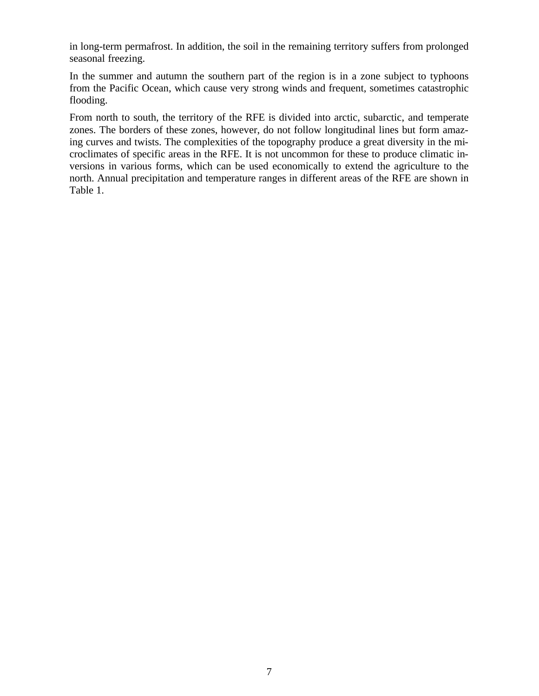in long-term permafrost. In addition, the soil in the remaining territory suffers from prolonged seasonal freezing.

In the summer and autumn the southern part of the region is in a zone subject to typhoons from the Pacific Ocean, which cause very strong winds and frequent, sometimes catastrophic flooding.

From north to south, the territory of the RFE is divided into arctic, subarctic, and temperate zones. The borders of these zones, however, do not follow longitudinal lines but form amazing curves and twists. The complexities of the topography produce a great diversity in the microclimates of specific areas in the RFE. It is not uncommon for these to produce climatic inversions in various forms, which can be used economically to extend the agriculture to the north. Annual precipitation and temperature ranges in different areas of the RFE are shown in Table 1.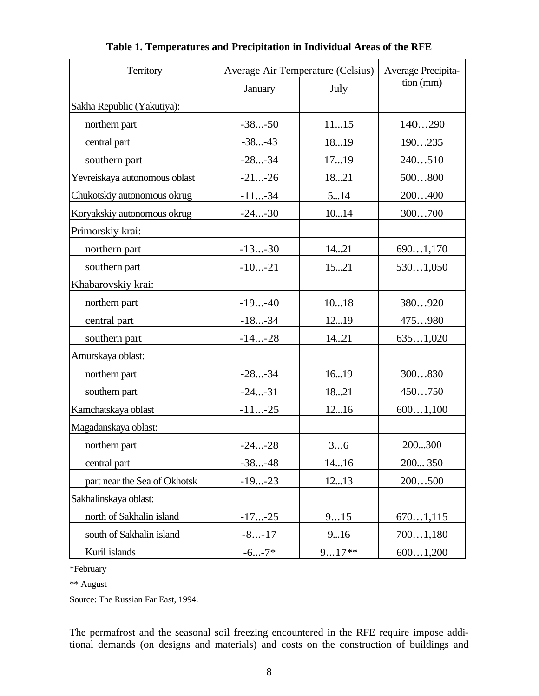| Territory                     | Average Air Temperature (Celsius) | Average Precipita- |           |
|-------------------------------|-----------------------------------|--------------------|-----------|
|                               | January                           | July               | tion (mm) |
| Sakha Republic (Yakutiya):    |                                   |                    |           |
| northern part                 | $-38-50$                          | 1115               | 140290    |
| central part                  | $-38-43$                          | 1819               | 190235    |
| southern part                 | $-28-34$                          | 1719               | 240510    |
| Yevreiskaya autonomous oblast | $-21-26$                          | 1821               | 500800    |
| Chukotskiy autonomous okrug   | $-11-34$                          | 514                | 200400    |
| Koryakskiy autonomous okrug   | $-24-30$                          | 1014               | 300700    |
| Primorskiy krai:              |                                   |                    |           |
| northern part                 | $-13-30$                          | 1421               | 6901,170  |
| southern part                 | $-10-21$                          | 1521               | 5301,050  |
| Khabarovskiy krai:            |                                   |                    |           |
| northern part                 | $-19-40$                          | 1018               | 380920    |
| central part                  | $-18-34$                          | 1219               | 475980    |
| southern part                 | $-14-28$                          | 1421               | 6351,020  |
| Amurskaya oblast:             |                                   |                    |           |
| northern part                 | $-28-34$                          | 1619               | 300830    |
| southern part                 | $-24-31$                          | 1821               | 450750    |
| Kamchatskaya oblast           | $-11-25$                          | 1216               | 6001,100  |
| Magadanskaya oblast:          |                                   |                    |           |
| northern part                 | $-24-28$                          | 36                 | 200300    |
| central part                  | $-38-48$                          | 1416               | 200 350   |
| part near the Sea of Okhotsk  | $-19-23$                          | 1213               | 200500    |
| Sakhalinskaya oblast:         |                                   |                    |           |
| north of Sakhalin island      | $-17-25$                          | 915                | 6701,115  |
| south of Sakhalin island      | $-8-17$                           | 916                | 7001,180  |
| Kuril islands                 | $-6-7*$                           | $917**$            | 6001,200  |

**Table 1. Temperatures and Precipitation in Individual Areas of the RFE**

\*February

\*\* August

Source: The Russian Far East, 1994.

The permafrost and the seasonal soil freezing encountered in the RFE require impose additional demands (on designs and materials) and costs on the construction of buildings and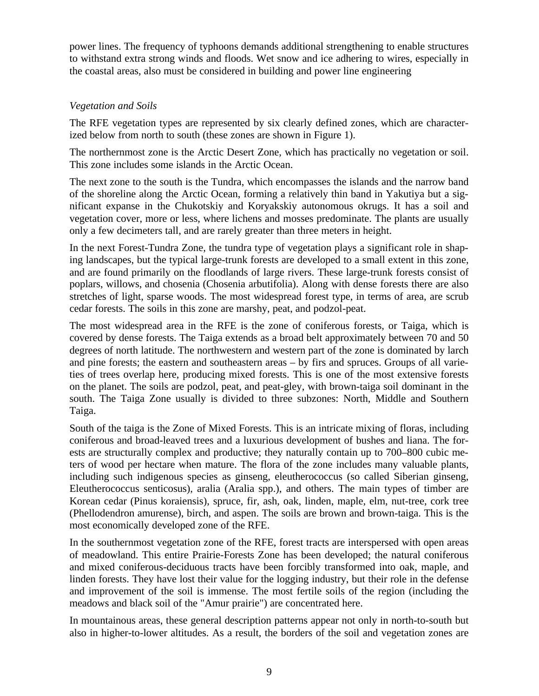power lines. The frequency of typhoons demands additional strengthening to enable structures to withstand extra strong winds and floods. Wet snow and ice adhering to wires, especially in the coastal areas, also must be considered in building and power line engineering

## *Vegetation and Soils*

The RFE vegetation types are represented by six clearly defined zones, which are characterized below from north to south (these zones are shown in Figure 1).

The northernmost zone is the Arctic Desert Zone, which has practically no vegetation or soil. This zone includes some islands in the Arctic Ocean.

The next zone to the south is the Tundra, which encompasses the islands and the narrow band of the shoreline along the Arctic Ocean, forming a relatively thin band in Yakutiya but a significant expanse in the Chukotskiy and Koryakskiy autonomous okrugs. It has a soil and vegetation cover, more or less, where lichens and mosses predominate. The plants are usually only a few decimeters tall, and are rarely greater than three meters in height.

In the next Forest-Tundra Zone, the tundra type of vegetation plays a significant role in shaping landscapes, but the typical large-trunk forests are developed to a small extent in this zone, and are found primarily on the floodlands of large rivers. These large-trunk forests consist of poplars, willows, and chosenia (Chosenia arbutifolia). Along with dense forests there are also stretches of light, sparse woods. The most widespread forest type, in terms of area, are scrub cedar forests. The soils in this zone are marshy, peat, and podzol-peat.

The most widespread area in the RFE is the zone of coniferous forests, or Taiga, which is covered by dense forests. The Taiga extends as a broad belt approximately between 70 and 50 degrees of north latitude. The northwestern and western part of the zone is dominated by larch and pine forests; the eastern and southeastern areas – by firs and spruces. Groups of all varieties of trees overlap here, producing mixed forests. This is one of the most extensive forests on the planet. The soils are podzol, peat, and peat-gley, with brown-taiga soil dominant in the south. The Taiga Zone usually is divided to three subzones: North, Middle and Southern Taiga.

South of the taiga is the Zone of Mixed Forests. This is an intricate mixing of floras, including coniferous and broad-leaved trees and a luxurious development of bushes and liana. The forests are structurally complex and productive; they naturally contain up to 700–800 cubic meters of wood per hectare when mature. The flora of the zone includes many valuable plants, including such indigenous species as ginseng, eleutherococcus (so called Siberian ginseng, Eleutherococcus senticosus), aralia (Aralia spp.), and others. The main types of timber are Korean cedar (Pinus koraiensis), spruce, fir, ash, oak, linden, maple, elm, nut-tree, cork tree (Phellodendron amurense), birch, and aspen. The soils are brown and brown-taiga. This is the most economically developed zone of the RFE.

In the southernmost vegetation zone of the RFE, forest tracts are interspersed with open areas of meadowland. This entire Prairie-Forests Zone has been developed; the natural coniferous and mixed coniferous-deciduous tracts have been forcibly transformed into oak, maple, and linden forests. They have lost their value for the logging industry, but their role in the defense and improvement of the soil is immense. The most fertile soils of the region (including the meadows and black soil of the "Amur prairie") are concentrated here.

In mountainous areas, these general description patterns appear not only in north-to-south but also in higher-to-lower altitudes. As a result, the borders of the soil and vegetation zones are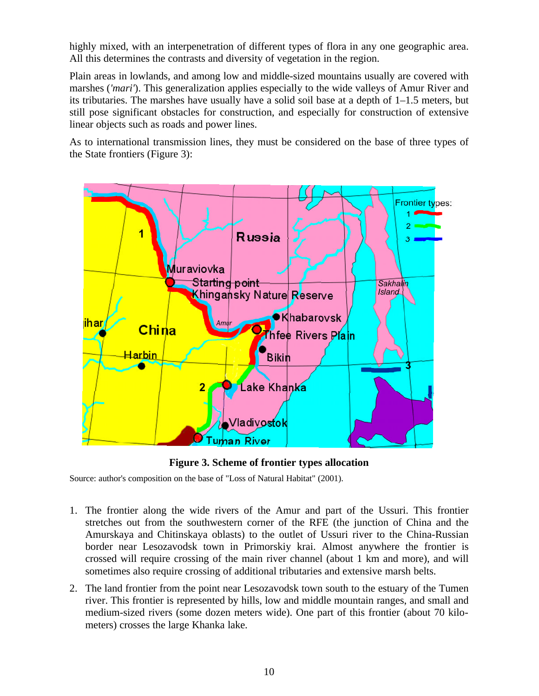highly mixed, with an interpenetration of different types of flora in any one geographic area. All this determines the contrasts and diversity of vegetation in the region.

Plain areas in lowlands, and among low and middle-sized mountains usually are covered with marshes (*'mari'*). This generalization applies especially to the wide valleys of Amur River and its tributaries. The marshes have usually have a solid soil base at a depth of 1–1.5 meters, but still pose significant obstacles for construction, and especially for construction of extensive linear objects such as roads and power lines.

As to international transmission lines, they must be considered on the base of three types of the State frontiers (Figure 3):



**Figure 3. Scheme of frontier types allocation**

Source: author's composition on the base of "Loss of Natural Habitat" (2001).

- 1. The frontier along the wide rivers of the Amur and part of the Ussuri. This frontier stretches out from the southwestern corner of the RFE (the junction of China and the Amurskaya and Chitinskaya oblasts) to the outlet of Ussuri river to the China-Russian border near Lesozavodsk town in Primorskiy krai. Almost anywhere the frontier is crossed will require crossing of the main river channel (about 1 km and more), and will sometimes also require crossing of additional tributaries and extensive marsh belts.
- 2. The land frontier from the point near Lesozavodsk town south to the estuary of the Tumen river. This frontier is represented by hills, low and middle mountain ranges, and small and medium-sized rivers (some dozen meters wide). One part of this frontier (about 70 kilometers) crosses the large Khanka lake.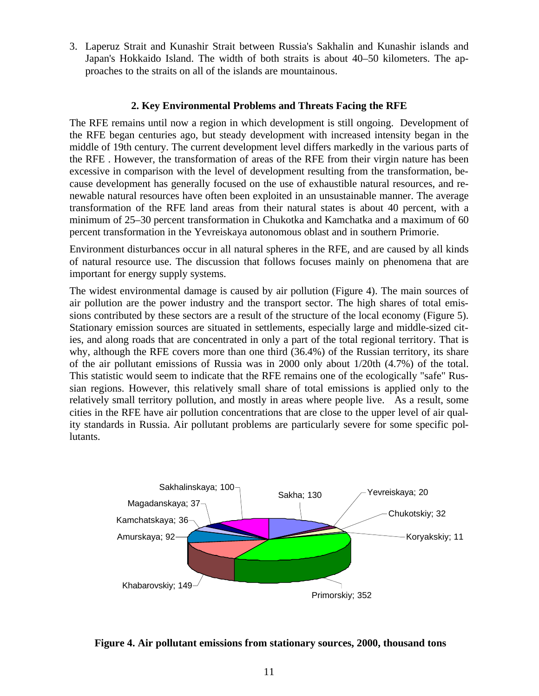3. Laperuz Strait and Kunashir Strait between Russia's Sakhalin and Kunashir islands and Japan's Hokkaido Island. The width of both straits is about 40–50 kilometers. The approaches to the straits on all of the islands are mountainous.

#### **2. Key Environmental Problems and Threats Facing the RFE**

The RFE remains until now a region in which development is still ongoing. Development of the RFE began centuries ago, but steady development with increased intensity began in the middle of 19th century. The current development level differs markedly in the various parts of the RFE . However, the transformation of areas of the RFE from their virgin nature has been excessive in comparison with the level of development resulting from the transformation, because development has generally focused on the use of exhaustible natural resources, and renewable natural resources have often been exploited in an unsustainable manner. The average transformation of the RFE land areas from their natural states is about 40 percent, with a minimum of 25–30 percent transformation in Chukotka and Kamchatka and a maximum of 60 percent transformation in the Yevreiskaya autonomous oblast and in southern Primorie.

Environment disturbances occur in all natural spheres in the RFE, and are caused by all kinds of natural resource use. The discussion that follows focuses mainly on phenomena that are important for energy supply systems.

The widest environmental damage is caused by air pollution (Figure 4). The main sources of air pollution are the power industry and the transport sector. The high shares of total emissions contributed by these sectors are a result of the structure of the local economy (Figure 5). Stationary emission sources are situated in settlements, especially large and middle-sized cities, and along roads that are concentrated in only a part of the total regional territory. That is why, although the RFE covers more than one third (36.4%) of the Russian territory, its share of the air pollutant emissions of Russia was in 2000 only about 1/20th (4.7%) of the total. This statistic would seem to indicate that the RFE remains one of the ecologically "safe" Russian regions. However, this relatively small share of total emissions is applied only to the relatively small territory pollution, and mostly in areas where people live. As a result, some cities in the RFE have air pollution concentrations that are close to the upper level of air quality standards in Russia. Air pollutant problems are particularly severe for some specific pollutants.



**Figure 4. Air pollutant emissions from stationary sources, 2000, thousand tons**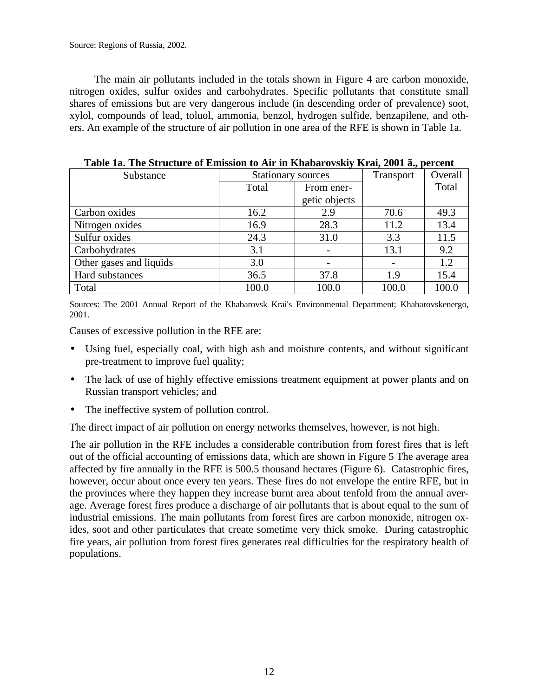Source: Regions of Russia, 2002.

The main air pollutants included in the totals shown in Figure 4 are carbon monoxide, nitrogen oxides, sulfur oxides and carbohydrates. Specific pollutants that constitute small shares of emissions but are very dangerous include (in descending order of prevalence) soot, xylol, compounds of lead, toluol, ammonia, benzol, hydrogen sulfide, benzapilene, and others. An example of the structure of air pollution in one area of the RFE is shown in Table 1a.

| Substance               | <b>Stationary sources</b> |               | Transport | Overall |
|-------------------------|---------------------------|---------------|-----------|---------|
|                         | Total                     | From ener-    |           | Total   |
|                         |                           | getic objects |           |         |
| Carbon oxides           | 16.2                      | 2.9           | 70.6      | 49.3    |
| Nitrogen oxides         | 16.9                      | 28.3          | 11.2      | 13.4    |
| Sulfur oxides           | 24.3                      | 31.0          | 3.3       | 11.5    |
| Carbohydrates           | 3.1                       |               | 13.1      | 9.2     |
| Other gases and liquids | 3.0                       |               |           | 1.2     |
| Hard substances         | 36.5                      | 37.8          | 1.9       | 15.4    |
| Total                   | 100.0                     | 100.0         | 100.0     | 100.0   |

**Table 1a. The Structure of Emission to Air in Khabarovskiy Krai, 2001 ã., percent**

Sources: The 2001 Annual Report of the Khabarovsk Krai's Environmental Department; Khabarovskenergo, 2001.

Causes of excessive pollution in the RFE are:

- Using fuel, especially coal, with high ash and moisture contents, and without significant pre-treatment to improve fuel quality;
- The lack of use of highly effective emissions treatment equipment at power plants and on Russian transport vehicles; and
- The ineffective system of pollution control.

The direct impact of air pollution on energy networks themselves, however, is not high.

The air pollution in the RFE includes a considerable contribution from forest fires that is left out of the official accounting of emissions data, which are shown in Figure 5 The average area affected by fire annually in the RFE is 500.5 thousand hectares (Figure 6). Catastrophic fires, however, occur about once every ten years. These fires do not envelope the entire RFE, but in the provinces where they happen they increase burnt area about tenfold from the annual average. Average forest fires produce a discharge of air pollutants that is about equal to the sum of industrial emissions. The main pollutants from forest fires are carbon monoxide, nitrogen oxides, soot and other particulates that create sometime very thick smoke. During catastrophic fire years, air pollution from forest fires generates real difficulties for the respiratory health of populations.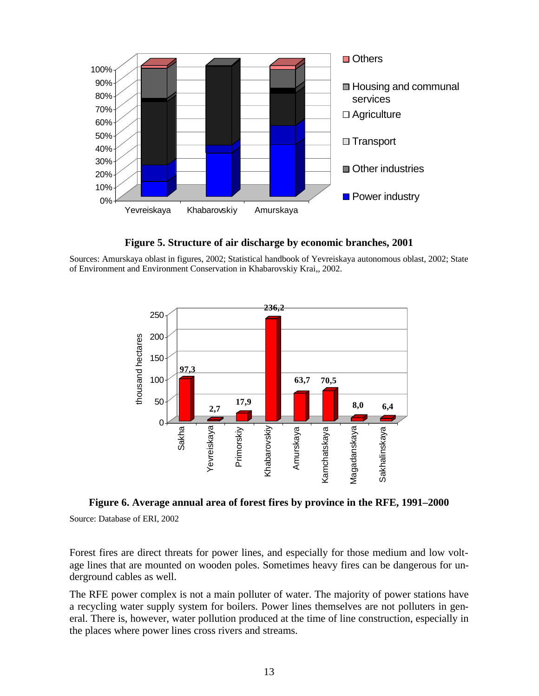

**Figure 5. Structure of air discharge by economic branches, 2001**

Sources: Amurskaya oblast in figures, 2002; Statistical handbook of Yevreiskaya autonomous oblast, 2002; State of Environment and Environment Conservation in Khabarovskiy Krai,, 2002.



**Figure 6. Average annual area of forest fires by province in the RFE, 1991–2000** Source: Database of ERI, 2002

Forest fires are direct threats for power lines, and especially for those medium and low voltage lines that are mounted on wooden poles. Sometimes heavy fires can be dangerous for underground cables as well.

The RFE power complex is not a main polluter of water. The majority of power stations have a recycling water supply system for boilers. Power lines themselves are not polluters in general. There is, however, water pollution produced at the time of line construction, especially in the places where power lines cross rivers and streams.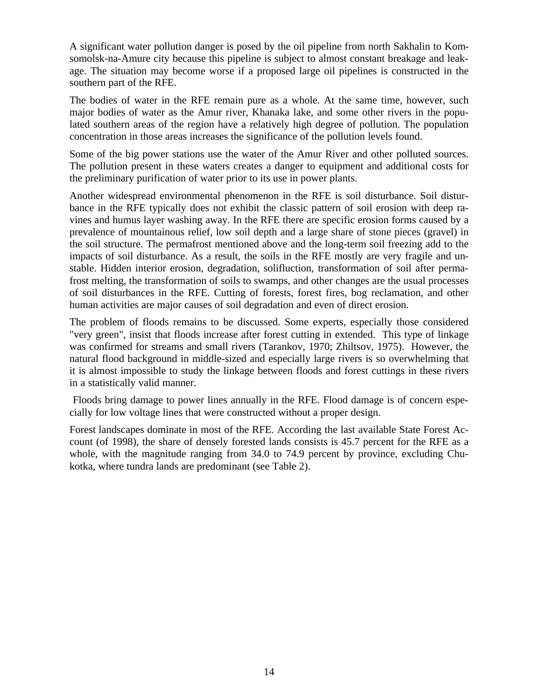A significant water pollution danger is posed by the oil pipeline from north Sakhalin to Komsomolsk-na-Amure city because this pipeline is subject to almost constant breakage and leakage. The situation may become worse if a proposed large oil pipelines is constructed in the southern part of the RFE.

The bodies of water in the RFE remain pure as a whole. At the same time, however, such major bodies of water as the Amur river, Khanaka lake, and some other rivers in the populated southern areas of the region have a relatively high degree of pollution. The population concentration in those areas increases the significance of the pollution levels found.

Some of the big power stations use the water of the Amur River and other polluted sources. The pollution present in these waters creates a danger to equipment and additional costs for the preliminary purification of water prior to its use in power plants.

Another widespread environmental phenomenon in the RFE is soil disturbance. Soil disturbance in the RFE typically does not exhibit the classic pattern of soil erosion with deep ravines and humus layer washing away. In the RFE there are specific erosion forms caused by a prevalence of mountainous relief, low soil depth and a large share of stone pieces (gravel) in the soil structure. The permafrost mentioned above and the long-term soil freezing add to the impacts of soil disturbance. As a result, the soils in the RFE mostly are very fragile and unstable. Hidden interior erosion, degradation, solifluction, transformation of soil after permafrost melting, the transformation of soils to swamps, and other changes are the usual processes of soil disturbances in the RFE. Cutting of forests, forest fires, bog reclamation, and other human activities are major causes of soil degradation and even of direct erosion.

The problem of floods remains to be discussed. Some experts, especially those considered "very green", insist that floods increase after forest cutting in extended. This type of linkage was confirmed for streams and small rivers (Tarankov, 1970; Zhiltsov, 1975). However, the natural flood background in middle-sized and especially large rivers is so overwhelming that it is almost impossible to study the linkage between floods and forest cuttings in these rivers in a statistically valid manner.

 Floods bring damage to power lines annually in the RFE. Flood damage is of concern especially for low voltage lines that were constructed without a proper design.

Forest landscapes dominate in most of the RFE. According the last available State Forest Account (of 1998), the share of densely forested lands consists is 45.7 percent for the RFE as a whole, with the magnitude ranging from 34.0 to 74.9 percent by province, excluding Chukotka, where tundra lands are predominant (see Table 2).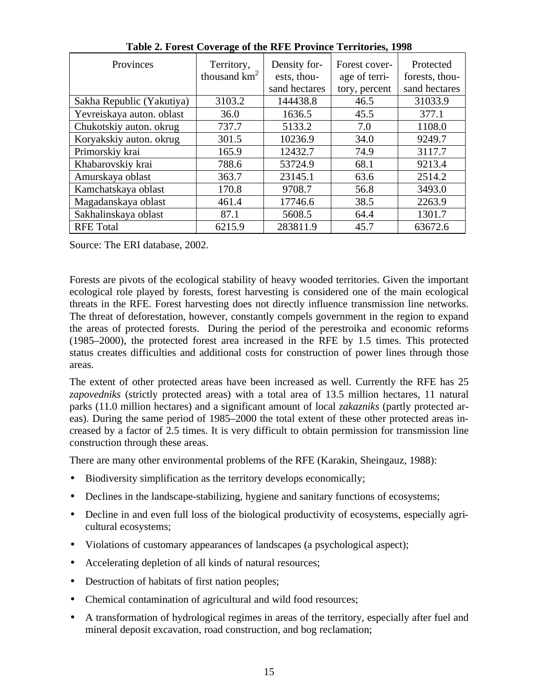| Provinces                 | Territory,<br>thousand $km2$ | Density for-<br>ests, thou- | Forest cover-<br>age of terri- | Protected<br>forests, thou- |
|---------------------------|------------------------------|-----------------------------|--------------------------------|-----------------------------|
| Sakha Republic (Yakutiya) | 3103.2                       | sand hectares<br>144438.8   | tory, percent<br>46.5          | sand hectares<br>31033.9    |
|                           |                              |                             |                                |                             |
| Yevreiskaya auton. oblast | 36.0                         | 1636.5                      | 45.5                           | 377.1                       |
| Chukotskiy auton. okrug   | 737.7                        | 5133.2                      | 7.0                            | 1108.0                      |
| Koryakskiy auton. okrug   | 301.5                        | 10236.9                     | 34.0                           | 9249.7                      |
| Primorskiy krai           | 165.9                        | 12432.7                     | 74.9                           | 3117.7                      |
| Khabarovskiy krai         | 788.6                        | 53724.9                     | 68.1                           | 9213.4                      |
| Amurskaya oblast          | 363.7                        | 23145.1                     | 63.6                           | 2514.2                      |
| Kamchatskaya oblast       | 170.8                        | 9708.7                      | 56.8                           | 3493.0                      |
| Magadanskaya oblast       | 461.4                        | 17746.6                     | 38.5                           | 2263.9                      |
| Sakhalinskaya oblast      | 87.1                         | 5608.5                      | 64.4                           | 1301.7                      |
| <b>RFE</b> Total          | 6215.9                       | 283811.9                    | 45.7                           | 63672.6                     |

**Table 2. Forest Coverage of the RFE Province Territories, 1998**

Source: The ERI database, 2002.

Forests are pivots of the ecological stability of heavy wooded territories. Given the important ecological role played by forests, forest harvesting is considered one of the main ecological threats in the RFE. Forest harvesting does not directly influence transmission line networks. The threat of deforestation, however, constantly compels government in the region to expand the areas of protected forests. During the period of the perestroika and economic reforms (1985–2000), the protected forest area increased in the RFE by 1.5 times. This protected status creates difficulties and additional costs for construction of power lines through those areas.

The extent of other protected areas have been increased as well. Currently the RFE has 25 *zapovedniks* (strictly protected areas) with a total area of 13.5 million hectares, 11 natural parks (11.0 million hectares) and a significant amount of local *zakazniks* (partly protected areas). During the same period of 1985–2000 the total extent of these other protected areas increased by a factor of 2.5 times. It is very difficult to obtain permission for transmission line construction through these areas.

There are many other environmental problems of the RFE (Karakin, Sheingauz, 1988):

- Biodiversity simplification as the territory develops economically;
- Declines in the landscape-stabilizing, hygiene and sanitary functions of ecosystems;
- Decline in and even full loss of the biological productivity of ecosystems, especially agricultural ecosystems;
- Violations of customary appearances of landscapes (a psychological aspect);
- Accelerating depletion of all kinds of natural resources;
- Destruction of habitats of first nation peoples;
- Chemical contamination of agricultural and wild food resources;
- A transformation of hydrological regimes in areas of the territory, especially after fuel and mineral deposit excavation, road construction, and bog reclamation;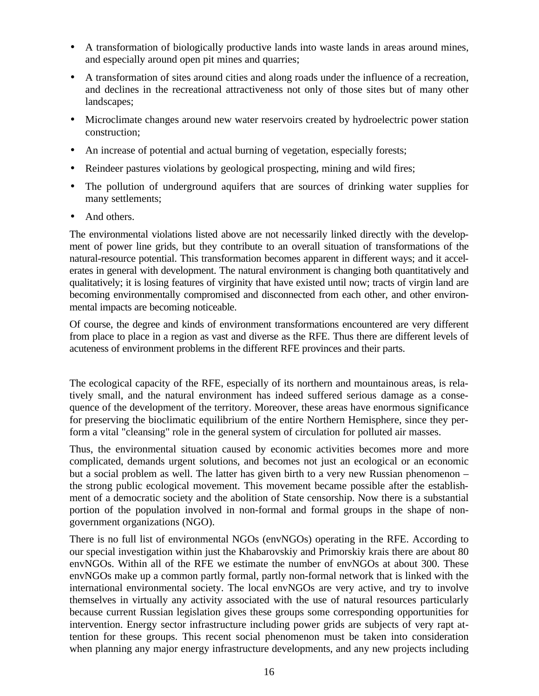- A transformation of biologically productive lands into waste lands in areas around mines, and especially around open pit mines and quarries;
- A transformation of sites around cities and along roads under the influence of a recreation, and declines in the recreational attractiveness not only of those sites but of many other landscapes;
- Microclimate changes around new water reservoirs created by hydroelectric power station construction;
- An increase of potential and actual burning of vegetation, especially forests;
- Reindeer pastures violations by geological prospecting, mining and wild fires;
- The pollution of underground aquifers that are sources of drinking water supplies for many settlements;
- And others.

The environmental violations listed above are not necessarily linked directly with the development of power line grids, but they contribute to an overall situation of transformations of the natural-resource potential. This transformation becomes apparent in different ways; and it accelerates in general with development. The natural environment is changing both quantitatively and qualitatively; it is losing features of virginity that have existed until now; tracts of virgin land are becoming environmentally compromised and disconnected from each other, and other environmental impacts are becoming noticeable.

Of course, the degree and kinds of environment transformations encountered are very different from place to place in a region as vast and diverse as the RFE. Thus there are different levels of acuteness of environment problems in the different RFE provinces and their parts.

The ecological capacity of the RFE, especially of its northern and mountainous areas, is relatively small, and the natural environment has indeed suffered serious damage as a consequence of the development of the territory. Moreover, these areas have enormous significance for preserving the bioclimatic equilibrium of the entire Northern Hemisphere, since they perform a vital "cleansing" role in the general system of circulation for polluted air masses.

Thus, the environmental situation caused by economic activities becomes more and more complicated, demands urgent solutions, and becomes not just an ecological or an economic but a social problem as well. The latter has given birth to a very new Russian phenomenon – the strong public ecological movement. This movement became possible after the establishment of a democratic society and the abolition of State censorship. Now there is a substantial portion of the population involved in non-formal and formal groups in the shape of nongovernment organizations (NGO).

There is no full list of environmental NGOs (envNGOs) operating in the RFE. According to our special investigation within just the Khabarovskiy and Primorskiy krais there are about 80 envNGOs. Within all of the RFE we estimate the number of envNGOs at about 300. These envNGOs make up a common partly formal, partly non-formal network that is linked with the international environmental society. The local envNGOs are very active, and try to involve themselves in virtually any activity associated with the use of natural resources particularly because current Russian legislation gives these groups some corresponding opportunities for intervention. Energy sector infrastructure including power grids are subjects of very rapt attention for these groups. This recent social phenomenon must be taken into consideration when planning any major energy infrastructure developments, and any new projects including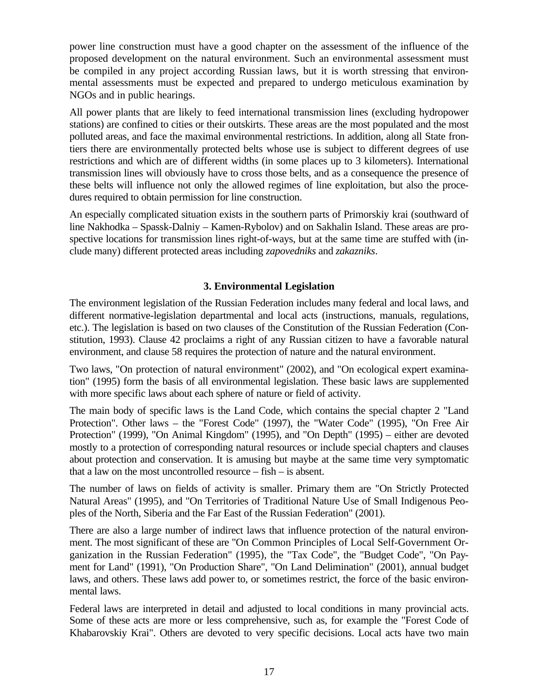power line construction must have a good chapter on the assessment of the influence of the proposed development on the natural environment. Such an environmental assessment must be compiled in any project according Russian laws, but it is worth stressing that environmental assessments must be expected and prepared to undergo meticulous examination by NGOs and in public hearings.

All power plants that are likely to feed international transmission lines (excluding hydropower stations) are confined to cities or their outskirts. These areas are the most populated and the most polluted areas, and face the maximal environmental restrictions. In addition, along all State frontiers there are environmentally protected belts whose use is subject to different degrees of use restrictions and which are of different widths (in some places up to 3 kilometers). International transmission lines will obviously have to cross those belts, and as a consequence the presence of these belts will influence not only the allowed regimes of line exploitation, but also the procedures required to obtain permission for line construction.

An especially complicated situation exists in the southern parts of Primorskiy krai (southward of line Nakhodka – Spassk-Dalniy – Kamen-Rybolov) and on Sakhalin Island. These areas are prospective locations for transmission lines right-of-ways, but at the same time are stuffed with (include many) different protected areas including *zapovedniks* and *zakazniks*.

## **3. Environmental Legislation**

The environment legislation of the Russian Federation includes many federal and local laws, and different normative-legislation departmental and local acts (instructions, manuals, regulations, etc.). The legislation is based on two clauses of the Constitution of the Russian Federation (Constitution, 1993). Clause 42 proclaims a right of any Russian citizen to have a favorable natural environment, and clause 58 requires the protection of nature and the natural environment.

Two laws, "On protection of natural environment" (2002), and "On ecological expert examination" (1995) form the basis of all environmental legislation. These basic laws are supplemented with more specific laws about each sphere of nature or field of activity.

The main body of specific laws is the Land Code, which contains the special chapter 2 "Land Protection". Other laws – the "Forest Code" (1997), the "Water Code" (1995), "On Free Air Protection" (1999), "On Animal Kingdom" (1995), and "On Depth" (1995) – either are devoted mostly to a protection of corresponding natural resources or include special chapters and clauses about protection and conservation. It is amusing but maybe at the same time very symptomatic that a law on the most uncontrolled resource – fish – is absent.

The number of laws on fields of activity is smaller. Primary them are "On Strictly Protected Natural Areas" (1995), and "On Territories of Traditional Nature Use of Small Indigenous Peoples of the North, Siberia and the Far East of the Russian Federation" (2001).

There are also a large number of indirect laws that influence protection of the natural environment. The most significant of these are "On Common Principles of Local Self-Government Organization in the Russian Federation" (1995), the "Tax Code", the "Budget Code", "On Payment for Land" (1991), "On Production Share", "On Land Delimination" (2001), annual budget laws, and others. These laws add power to, or sometimes restrict, the force of the basic environmental laws.

Federal laws are interpreted in detail and adjusted to local conditions in many provincial acts. Some of these acts are more or less comprehensive, such as, for example the "Forest Code of Khabarovskiy Krai". Others are devoted to very specific decisions. Local acts have two main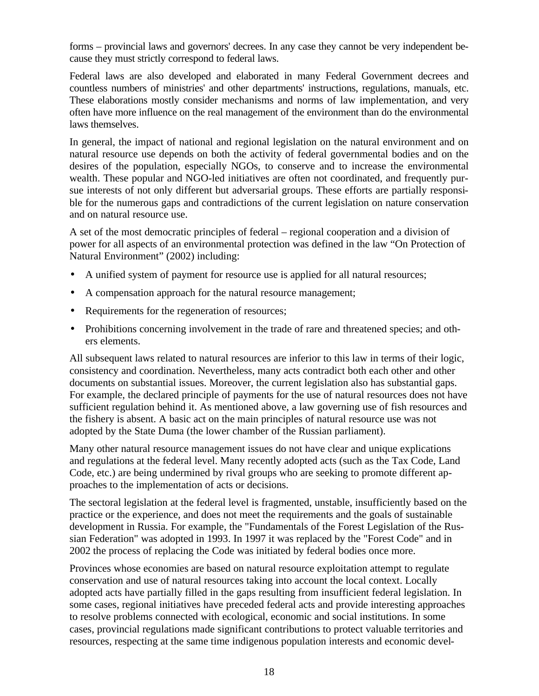forms – provincial laws and governors' decrees. In any case they cannot be very independent because they must strictly correspond to federal laws.

Federal laws are also developed and elaborated in many Federal Government decrees and countless numbers of ministries' and other departments' instructions, regulations, manuals, etc. These elaborations mostly consider mechanisms and norms of law implementation, and very often have more influence on the real management of the environment than do the environmental laws themselves.

In general, the impact of national and regional legislation on the natural environment and on natural resource use depends on both the activity of federal governmental bodies and on the desires of the population, especially NGOs, to conserve and to increase the environmental wealth. These popular and NGO-led initiatives are often not coordinated, and frequently pursue interests of not only different but adversarial groups. These efforts are partially responsible for the numerous gaps and contradictions of the current legislation on nature conservation and on natural resource use.

A set of the most democratic principles of federal – regional cooperation and a division of power for all aspects of an environmental protection was defined in the law "On Protection of Natural Environment" (2002) including:

- A unified system of payment for resource use is applied for all natural resources;
- A compensation approach for the natural resource management;
- Requirements for the regeneration of resources;
- Prohibitions concerning involvement in the trade of rare and threatened species; and others elements.

All subsequent laws related to natural resources are inferior to this law in terms of their logic, consistency and coordination. Nevertheless, many acts contradict both each other and other documents on substantial issues. Moreover, the current legislation also has substantial gaps. For example, the declared principle of payments for the use of natural resources does not have sufficient regulation behind it. As mentioned above, a law governing use of fish resources and the fishery is absent. A basic act on the main principles of natural resource use was not adopted by the State Duma (the lower chamber of the Russian parliament).

Many other natural resource management issues do not have clear and unique explications and regulations at the federal level. Many recently adopted acts (such as the Tax Code, Land Code, etc.) are being undermined by rival groups who are seeking to promote different approaches to the implementation of acts or decisions.

The sectoral legislation at the federal level is fragmented, unstable, insufficiently based on the practice or the experience, and does not meet the requirements and the goals of sustainable development in Russia. For example, the "Fundamentals of the Forest Legislation of the Russian Federation" was adopted in 1993. In 1997 it was replaced by the "Forest Code" and in 2002 the process of replacing the Code was initiated by federal bodies once more.

Provinces whose economies are based on natural resource exploitation attempt to regulate conservation and use of natural resources taking into account the local context. Locally adopted acts have partially filled in the gaps resulting from insufficient federal legislation. In some cases, regional initiatives have preceded federal acts and provide interesting approaches to resolve problems connected with ecological, economic and social institutions. In some cases, provincial regulations made significant contributions to protect valuable territories and resources, respecting at the same time indigenous population interests and economic devel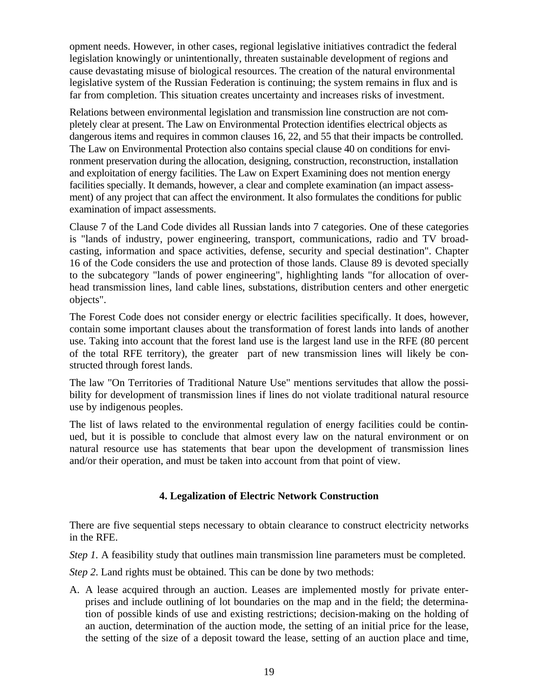opment needs. However, in other cases, regional legislative initiatives contradict the federal legislation knowingly or unintentionally, threaten sustainable development of regions and cause devastating misuse of biological resources. The creation of the natural environmental legislative system of the Russian Federation is continuing; the system remains in flux and is far from completion. This situation creates uncertainty and increases risks of investment.

Relations between environmental legislation and transmission line construction are not completely clear at present. The Law on Environmental Protection identifies electrical objects as dangerous items and requires in common clauses 16, 22, and 55 that their impacts be controlled. The Law on Environmental Protection also contains special clause 40 on conditions for environment preservation during the allocation, designing, construction, reconstruction, installation and exploitation of energy facilities. The Law on Expert Examining does not mention energy facilities specially. It demands, however, a clear and complete examination (an impact assessment) of any project that can affect the environment. It also formulates the conditions for public examination of impact assessments.

Clause 7 of the Land Code divides all Russian lands into 7 categories. One of these categories is "lands of industry, power engineering, transport, communications, radio and TV broadcasting, information and space activities, defense, security and special destination". Chapter 16 of the Code considers the use and protection of those lands. Clause 89 is devoted specially to the subcategory "lands of power engineering", highlighting lands "for allocation of overhead transmission lines, land cable lines, substations, distribution centers and other energetic objects".

The Forest Code does not consider energy or electric facilities specifically. It does, however, contain some important clauses about the transformation of forest lands into lands of another use. Taking into account that the forest land use is the largest land use in the RFE (80 percent of the total RFE territory), the greater part of new transmission lines will likely be constructed through forest lands.

The law "On Territories of Traditional Nature Use" mentions servitudes that allow the possibility for development of transmission lines if lines do not violate traditional natural resource use by indigenous peoples.

The list of laws related to the environmental regulation of energy facilities could be continued, but it is possible to conclude that almost every law on the natural environment or on natural resource use has statements that bear upon the development of transmission lines and/or their operation, and must be taken into account from that point of view.

#### **4. Legalization of Electric Network Construction**

There are five sequential steps necessary to obtain clearance to construct electricity networks in the RFE.

*Step 1.* A feasibility study that outlines main transmission line parameters must be completed.

*Step 2*. Land rights must be obtained. This can be done by two methods:

A. A lease acquired through an auction. Leases are implemented mostly for private enterprises and include outlining of lot boundaries on the map and in the field; the determination of possible kinds of use and existing restrictions; decision-making on the holding of an auction, determination of the auction mode, the setting of an initial price for the lease, the setting of the size of a deposit toward the lease, setting of an auction place and time,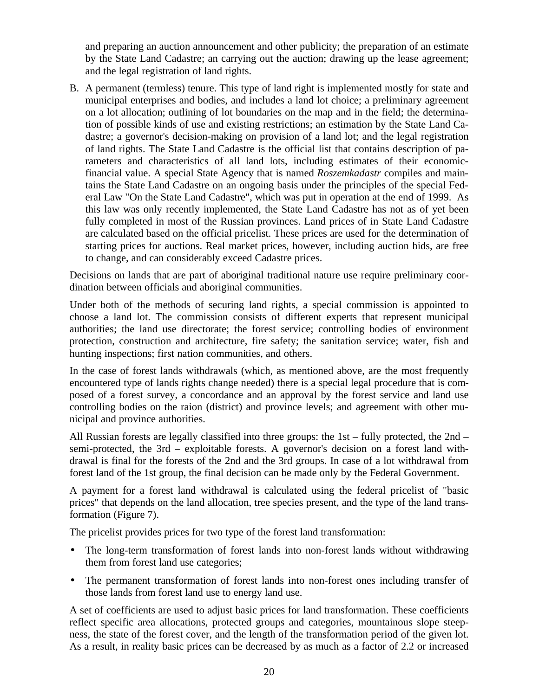and preparing an auction announcement and other publicity; the preparation of an estimate by the State Land Cadastre; an carrying out the auction; drawing up the lease agreement; and the legal registration of land rights.

B. A permanent (termless) tenure. This type of land right is implemented mostly for state and municipal enterprises and bodies, and includes a land lot choice; a preliminary agreement on a lot allocation; outlining of lot boundaries on the map and in the field; the determination of possible kinds of use and existing restrictions; an estimation by the State Land Cadastre; a governor's decision-making on provision of a land lot; and the legal registration of land rights. The State Land Cadastre is the official list that contains description of parameters and characteristics of all land lots, including estimates of their economicfinancial value. A special State Agency that is named *Roszemkadastr* compiles and maintains the State Land Cadastre on an ongoing basis under the principles of the special Federal Law "On the State Land Cadastre", which was put in operation at the end of 1999. As this law was only recently implemented, the State Land Cadastre has not as of yet been fully completed in most of the Russian provinces. Land prices of in State Land Cadastre are calculated based on the official pricelist. These prices are used for the determination of starting prices for auctions. Real market prices, however, including auction bids, are free to change, and can considerably exceed Cadastre prices.

Decisions on lands that are part of aboriginal traditional nature use require preliminary coordination between officials and aboriginal communities.

Under both of the methods of securing land rights, a special commission is appointed to choose a land lot. The commission consists of different experts that represent municipal authorities; the land use directorate; the forest service; controlling bodies of environment protection, construction and architecture, fire safety; the sanitation service; water, fish and hunting inspections; first nation communities, and others.

In the case of forest lands withdrawals (which, as mentioned above, are the most frequently encountered type of lands rights change needed) there is a special legal procedure that is composed of a forest survey, a concordance and an approval by the forest service and land use controlling bodies on the raion (district) and province levels; and agreement with other municipal and province authorities.

All Russian forests are legally classified into three groups: the 1st – fully protected, the 2nd – semi-protected, the 3rd – exploitable forests. A governor's decision on a forest land withdrawal is final for the forests of the 2nd and the 3rd groups. In case of a lot withdrawal from forest land of the 1st group, the final decision can be made only by the Federal Government.

A payment for a forest land withdrawal is calculated using the federal pricelist of "basic prices" that depends on the land allocation, tree species present, and the type of the land transformation (Figure 7).

The pricelist provides prices for two type of the forest land transformation:

- The long-term transformation of forest lands into non-forest lands without withdrawing them from forest land use categories;
- The permanent transformation of forest lands into non-forest ones including transfer of those lands from forest land use to energy land use.

A set of coefficients are used to adjust basic prices for land transformation. These coefficients reflect specific area allocations, protected groups and categories, mountainous slope steepness, the state of the forest cover, and the length of the transformation period of the given lot. As a result, in reality basic prices can be decreased by as much as a factor of 2.2 or increased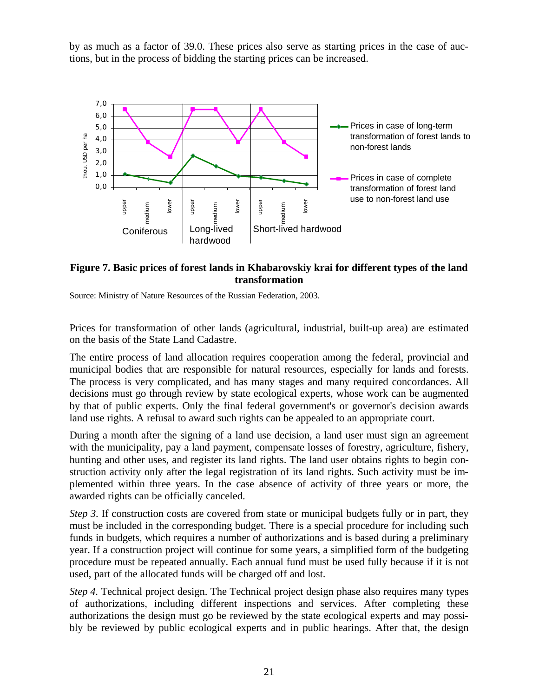by as much as a factor of 39.0. These prices also serve as starting prices in the case of auctions, but in the process of bidding the starting prices can be increased.



## **Figure 7. Basic prices of forest lands in Khabarovskiy krai for different types of the land transformation**

Source: Ministry of Nature Resources of the Russian Federation, 2003.

Prices for transformation of other lands (agricultural, industrial, built-up area) are estimated on the basis of the State Land Cadastre.

The entire process of land allocation requires cooperation among the federal, provincial and municipal bodies that are responsible for natural resources, especially for lands and forests. The process is very complicated, and has many stages and many required concordances. All decisions must go through review by state ecological experts, whose work can be augmented by that of public experts. Only the final federal government's or governor's decision awards land use rights. A refusal to award such rights can be appealed to an appropriate court.

During a month after the signing of a land use decision, a land user must sign an agreement with the municipality, pay a land payment, compensate losses of forestry, agriculture, fishery, hunting and other uses, and register its land rights. The land user obtains rights to begin construction activity only after the legal registration of its land rights. Such activity must be implemented within three years. In the case absence of activity of three years or more, the awarded rights can be officially canceled.

*Step 3.* If construction costs are covered from state or municipal budgets fully or in part, they must be included in the corresponding budget. There is a special procedure for including such funds in budgets, which requires a number of authorizations and is based during a preliminary year. If a construction project will continue for some years, a simplified form of the budgeting procedure must be repeated annually. Each annual fund must be used fully because if it is not used, part of the allocated funds will be charged off and lost.

*Step 4.* Technical project design. The Technical project design phase also requires many types of authorizations, including different inspections and services. After completing these authorizations the design must go be reviewed by the state ecological experts and may possibly be reviewed by public ecological experts and in public hearings. After that, the design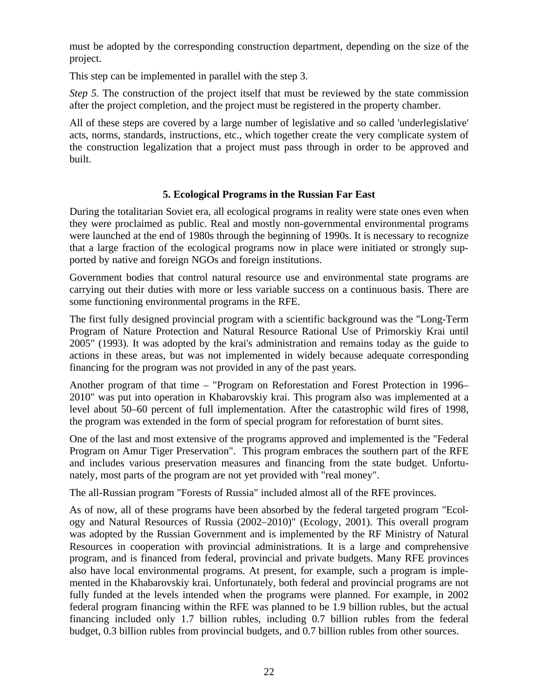must be adopted by the corresponding construction department, depending on the size of the project.

This step can be implemented in parallel with the step 3.

*Step 5.* The construction of the project itself that must be reviewed by the state commission after the project completion, and the project must be registered in the property chamber.

All of these steps are covered by a large number of legislative and so called 'underlegislative' acts, norms, standards, instructions, etc., which together create the very complicate system of the construction legalization that a project must pass through in order to be approved and built.

## **5. Ecological Programs in the Russian Far East**

During the totalitarian Soviet era, all ecological programs in reality were state ones even when they were proclaimed as public. Real and mostly non-governmental environmental programs were launched at the end of 1980s through the beginning of 1990s. It is necessary to recognize that a large fraction of the ecological programs now in place were initiated or strongly supported by native and foreign NGOs and foreign institutions.

Government bodies that control natural resource use and environmental state programs are carrying out their duties with more or less variable success on a continuous basis. There are some functioning environmental programs in the RFE.

The first fully designed provincial program with a scientific background was the "Long-Term Program of Nature Protection and Natural Resource Rational Use of Primorskiy Krai until 2005" (1993). It was adopted by the krai's administration and remains today as the guide to actions in these areas, but was not implemented in widely because adequate corresponding financing for the program was not provided in any of the past years.

Another program of that time – "Program on Reforestation and Forest Protection in 1996– 2010" was put into operation in Khabarovskiy krai. This program also was implemented at a level about 50–60 percent of full implementation. After the catastrophic wild fires of 1998, the program was extended in the form of special program for reforestation of burnt sites.

One of the last and most extensive of the programs approved and implemented is the "Federal Program on Amur Tiger Preservation". This program embraces the southern part of the RFE and includes various preservation measures and financing from the state budget. Unfortunately, most parts of the program are not yet provided with "real money".

The all-Russian program "Forests of Russia" included almost all of the RFE provinces.

As of now, all of these programs have been absorbed by the federal targeted program "Ecology and Natural Resources of Russia (2002–2010)" (Ecology, 2001). This overall program was adopted by the Russian Government and is implemented by the RF Ministry of Natural Resources in cooperation with provincial administrations. It is a large and comprehensive program, and is financed from federal, provincial and private budgets. Many RFE provinces also have local environmental programs. At present, for example, such a program is implemented in the Khabarovskiy krai. Unfortunately, both federal and provincial programs are not fully funded at the levels intended when the programs were planned. For example, in 2002 federal program financing within the RFE was planned to be 1.9 billion rubles, but the actual financing included only 1.7 billion rubles, including 0.7 billion rubles from the federal budget, 0.3 billion rubles from provincial budgets, and 0.7 billion rubles from other sources.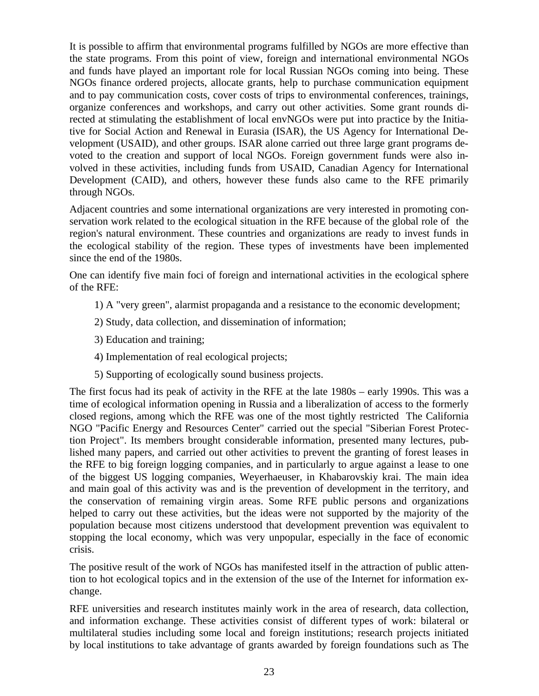It is possible to affirm that environmental programs fulfilled by NGOs are more effective than the state programs. From this point of view, foreign and international environmental NGOs and funds have played an important role for local Russian NGOs coming into being. These NGOs finance ordered projects, allocate grants, help to purchase communication equipment and to pay communication costs, cover costs of trips to environmental conferences, trainings, organize conferences and workshops, and carry out other activities. Some grant rounds directed at stimulating the establishment of local envNGOs were put into practice by the Initiative for Social Action and Renewal in Eurasia (ISAR), the US Agency for International Development (USAID), and other groups. ISAR alone carried out three large grant programs devoted to the creation and support of local NGOs. Foreign government funds were also involved in these activities, including funds from USAID, Canadian Agency for International Development (CAID), and others, however these funds also came to the RFE primarily through NGOs.

Adjacent countries and some international organizations are very interested in promoting conservation work related to the ecological situation in the RFE because of the global role of the region's natural environment. These countries and organizations are ready to invest funds in the ecological stability of the region. These types of investments have been implemented since the end of the 1980s.

One can identify five main foci of foreign and international activities in the ecological sphere of the RFE:

- 1) A "very green", alarmist propaganda and a resistance to the economic development;
- 2) Study, data collection, and dissemination of information;
- 3) Education and training;
- 4) Implementation of real ecological projects;
- 5) Supporting of ecologically sound business projects.

The first focus had its peak of activity in the RFE at the late 1980s – early 1990s. This was a time of ecological information opening in Russia and a liberalization of access to the formerly closed regions, among which the RFE was one of the most tightly restricted The California NGO "Pacific Energy and Resources Center" carried out the special "Siberian Forest Protection Project". Its members brought considerable information, presented many lectures, published many papers, and carried out other activities to prevent the granting of forest leases in the RFE to big foreign logging companies, and in particularly to argue against a lease to one of the biggest US logging companies, Weyerhaeuser, in Khabarovskiy krai. The main idea and main goal of this activity was and is the prevention of development in the territory, and the conservation of remaining virgin areas. Some RFE public persons and organizations helped to carry out these activities, but the ideas were not supported by the majority of the population because most citizens understood that development prevention was equivalent to stopping the local economy, which was very unpopular, especially in the face of economic crisis.

The positive result of the work of NGOs has manifested itself in the attraction of public attention to hot ecological topics and in the extension of the use of the Internet for information exchange.

RFE universities and research institutes mainly work in the area of research, data collection, and information exchange. These activities consist of different types of work: bilateral or multilateral studies including some local and foreign institutions; research projects initiated by local institutions to take advantage of grants awarded by foreign foundations such as The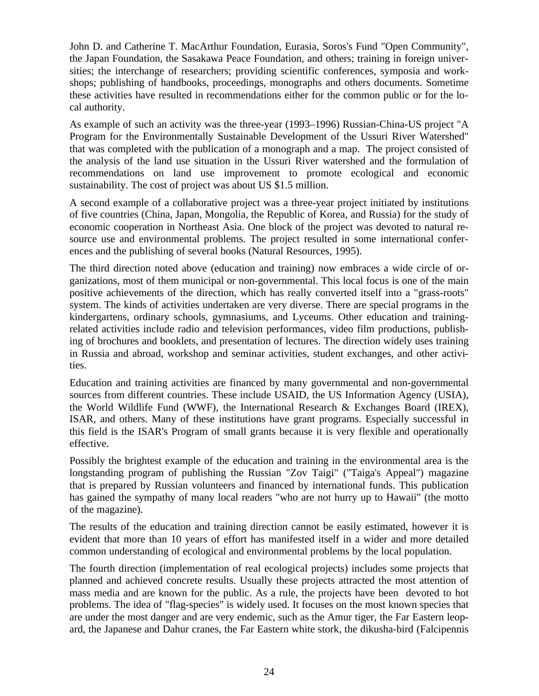John D. and Catherine T. MacArthur Foundation, Eurasia, Soros's Fund "Open Community", the Japan Foundation, the Sasakawa Peace Foundation, and others; training in foreign universities; the interchange of researchers; providing scientific conferences, symposia and workshops; publishing of handbooks, proceedings, monographs and others documents. Sometime these activities have resulted in recommendations either for the common public or for the local authority.

As example of such an activity was the three-year (1993–1996) Russian-China-US project "A Program for the Environmentally Sustainable Development of the Ussuri River Watershed" that was completed with the publication of a monograph and a map. The project consisted of the analysis of the land use situation in the Ussuri River watershed and the formulation of recommendations on land use improvement to promote ecological and economic sustainability. The cost of project was about US \$1.5 million.

A second example of a collaborative project was a three-year project initiated by institutions of five countries (China, Japan, Mongolia, the Republic of Korea, and Russia) for the study of economic cooperation in Northeast Asia. One block of the project was devoted to natural resource use and environmental problems. The project resulted in some international conferences and the publishing of several books (Natural Resources, 1995).

The third direction noted above (education and training) now embraces a wide circle of organizations, most of them municipal or non-governmental. This local focus is one of the main positive achievements of the direction, which has really converted itself into a "grass-roots" system. The kinds of activities undertaken are very diverse. There are special programs in the kindergartens, ordinary schools, gymnasiums, and Lyceums. Other education and trainingrelated activities include radio and television performances, video film productions, publishing of brochures and booklets, and presentation of lectures. The direction widely uses training in Russia and abroad, workshop and seminar activities, student exchanges, and other activities.

Education and training activities are financed by many governmental and non-governmental sources from different countries. These include USAID, the US Information Agency (USIA), the World Wildlife Fund (WWF), the International Research & Exchanges Board (IREX), ISAR, and others. Many of these institutions have grant programs. Especially successful in this field is the ISAR's Program of small grants because it is very flexible and operationally effective.

Possibly the brightest example of the education and training in the environmental area is the longstanding program of publishing the Russian "Zov Taigi" ("Taiga's Appeal") magazine that is prepared by Russian volunteers and financed by international funds. This publication has gained the sympathy of many local readers "who are not hurry up to Hawaii" (the motto of the magazine).

The results of the education and training direction cannot be easily estimated, however it is evident that more than 10 years of effort has manifested itself in a wider and more detailed common understanding of ecological and environmental problems by the local population.

The fourth direction (implementation of real ecological projects) includes some projects that planned and achieved concrete results. Usually these projects attracted the most attention of mass media and are known for the public. As a rule, the projects have been devoted to hot problems. The idea of "flag-species" is widely used. It focuses on the most known species that are under the most danger and are very endemic, such as the Amur tiger, the Far Eastern leopard, the Japanese and Dahur cranes, the Far Eastern white stork, the dikusha-bird (Falcipennis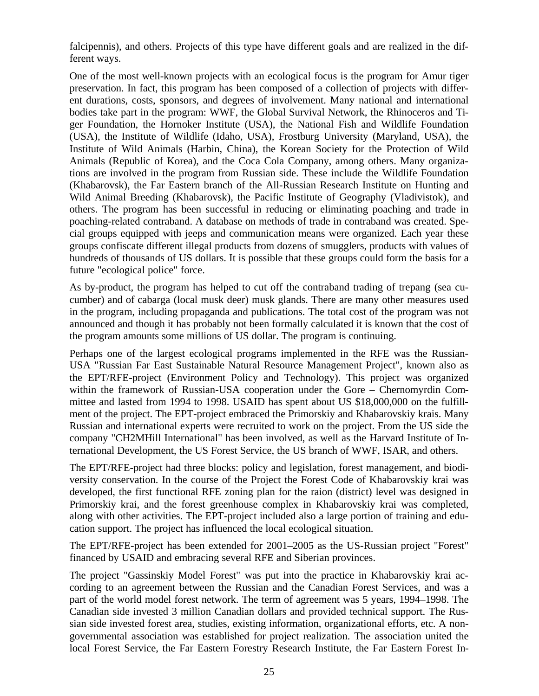falcipennis), and others. Projects of this type have different goals and are realized in the different ways.

One of the most well-known projects with an ecological focus is the program for Amur tiger preservation. In fact, this program has been composed of a collection of projects with different durations, costs, sponsors, and degrees of involvement. Many national and international bodies take part in the program: WWF, the Global Survival Network, the Rhinoceros and Tiger Foundation, the Hornoker Institute (USA), the National Fish and Wildlife Foundation (USA), the Institute of Wildlife (Idaho, USA), Frostburg University (Maryland, USA), the Institute of Wild Animals (Harbin, China), the Korean Society for the Protection of Wild Animals (Republic of Korea), and the Coca Cola Company, among others. Many organizations are involved in the program from Russian side. These include the Wildlife Foundation (Khabarovsk), the Far Eastern branch of the All-Russian Research Institute on Hunting and Wild Animal Breeding (Khabarovsk), the Pacific Institute of Geography (Vladivistok), and others. The program has been successful in reducing or eliminating poaching and trade in poaching-related contraband. A database on methods of trade in contraband was created. Special groups equipped with jeeps and communication means were organized. Each year these groups confiscate different illegal products from dozens of smugglers, products with values of hundreds of thousands of US dollars. It is possible that these groups could form the basis for a future "ecological police" force.

As by-product, the program has helped to cut off the contraband trading of trepang (sea cucumber) and of cabarga (local musk deer) musk glands. There are many other measures used in the program, including propaganda and publications. The total cost of the program was not announced and though it has probably not been formally calculated it is known that the cost of the program amounts some millions of US dollar. The program is continuing.

Perhaps one of the largest ecological programs implemented in the RFE was the Russian-USA "Russian Far East Sustainable Natural Resource Management Project", known also as the EPT/RFE-project (Environment Policy and Technology). This project was organized within the framework of Russian-USA cooperation under the Gore – Chernomyrdin Committee and lasted from 1994 to 1998. USAID has spent about US \$18,000,000 on the fulfillment of the project. The EPT-project embraced the Primorskiy and Khabarovskiy krais. Many Russian and international experts were recruited to work on the project. From the US side the company "CH2MHill International" has been involved, as well as the Harvard Institute of International Development, the US Forest Service, the US branch of WWF, ISAR, and others.

The EPT/RFE-project had three blocks: policy and legislation, forest management, and biodiversity conservation. In the course of the Project the Forest Code of Khabarovskiy krai was developed, the first functional RFE zoning plan for the raion (district) level was designed in Primorskiy krai, and the forest greenhouse complex in Khabarovskiy krai was completed, along with other activities. The EPT-project included also a large portion of training and education support. The project has influenced the local ecological situation.

The EPT/RFE-project has been extended for 2001–2005 as the US-Russian project "Forest" financed by USAID and embracing several RFE and Siberian provinces.

The project "Gassinskiy Model Forest" was put into the practice in Khabarovskiy krai according to an agreement between the Russian and the Canadian Forest Services, and was a part of the world model forest network. The term of agreement was 5 years, 1994–1998. The Canadian side invested 3 million Canadian dollars and provided technical support. The Russian side invested forest area, studies, existing information, organizational efforts, etc. A nongovernmental association was established for project realization. The association united the local Forest Service, the Far Eastern Forestry Research Institute, the Far Eastern Forest In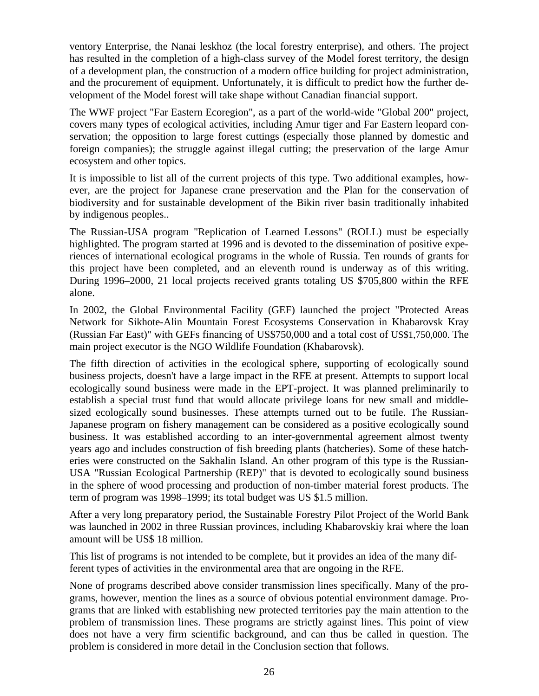ventory Enterprise, the Nanai leskhoz (the local forestry enterprise), and others. The project has resulted in the completion of a high-class survey of the Model forest territory, the design of a development plan, the construction of a modern office building for project administration, and the procurement of equipment. Unfortunately, it is difficult to predict how the further development of the Model forest will take shape without Canadian financial support.

The WWF project "Far Eastern Ecoregion", as a part of the world-wide "Global 200" project, covers many types of ecological activities, including Amur tiger and Far Eastern leopard conservation; the opposition to large forest cuttings (especially those planned by domestic and foreign companies); the struggle against illegal cutting; the preservation of the large Amur ecosystem and other topics.

It is impossible to list all of the current projects of this type. Two additional examples, however, are the project for Japanese crane preservation and the Plan for the conservation of biodiversity and for sustainable development of the Bikin river basin traditionally inhabited by indigenous peoples..

The Russian-USA program "Replication of Learned Lessons" (ROLL) must be especially highlighted. The program started at 1996 and is devoted to the dissemination of positive experiences of international ecological programs in the whole of Russia. Ten rounds of grants for this project have been completed, and an eleventh round is underway as of this writing. During 1996–2000, 21 local projects received grants totaling US \$705,800 within the RFE alone.

In 2002, the Global Environmental Facility (GEF) launched the project "Protected Areas Network for Sikhote-Alin Mountain Forest Ecosystems Conservation in Khabarovsk Kray (Russian Far East)" with GEFs financing of US\$750,000 and a total cost of US\$1,750,000. The main project executor is the NGO Wildlife Foundation (Khabarovsk).

The fifth direction of activities in the ecological sphere, supporting of ecologically sound business projects, doesn't have a large impact in the RFE at present. Attempts to support local ecologically sound business were made in the EPT-project. It was planned preliminarily to establish a special trust fund that would allocate privilege loans for new small and middlesized ecologically sound businesses. These attempts turned out to be futile. The Russian-Japanese program on fishery management can be considered as a positive ecologically sound business. It was established according to an inter-governmental agreement almost twenty years ago and includes construction of fish breeding plants (hatcheries). Some of these hatcheries were constructed on the Sakhalin Island. An other program of this type is the Russian-USA "Russian Ecological Partnership (REP)" that is devoted to ecologically sound business in the sphere of wood processing and production of non-timber material forest products. The term of program was 1998–1999; its total budget was US \$1.5 million.

After a very long preparatory period, the Sustainable Forestry Pilot Project of the World Bank was launched in 2002 in three Russian provinces, including Khabarovskiy krai where the loan amount will be US\$ 18 million.

This list of programs is not intended to be complete, but it provides an idea of the many different types of activities in the environmental area that are ongoing in the RFE.

None of programs described above consider transmission lines specifically. Many of the programs, however, mention the lines as a source of obvious potential environment damage. Programs that are linked with establishing new protected territories pay the main attention to the problem of transmission lines. These programs are strictly against lines. This point of view does not have a very firm scientific background, and can thus be called in question. The problem is considered in more detail in the Conclusion section that follows.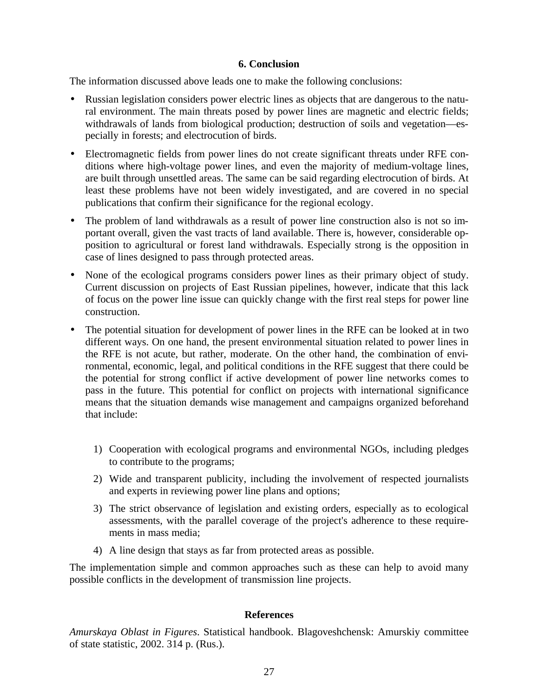#### **6. Conclusion**

The information discussed above leads one to make the following conclusions:

- Russian legislation considers power electric lines as objects that are dangerous to the natural environment. The main threats posed by power lines are magnetic and electric fields; withdrawals of lands from biological production; destruction of soils and vegetation—especially in forests; and electrocution of birds.
- Electromagnetic fields from power lines do not create significant threats under RFE conditions where high-voltage power lines, and even the majority of medium-voltage lines, are built through unsettled areas. The same can be said regarding electrocution of birds. At least these problems have not been widely investigated, and are covered in no special publications that confirm their significance for the regional ecology.
- The problem of land withdrawals as a result of power line construction also is not so important overall, given the vast tracts of land available. There is, however, considerable opposition to agricultural or forest land withdrawals. Especially strong is the opposition in case of lines designed to pass through protected areas.
- None of the ecological programs considers power lines as their primary object of study. Current discussion on projects of East Russian pipelines, however, indicate that this lack of focus on the power line issue can quickly change with the first real steps for power line construction.
- The potential situation for development of power lines in the RFE can be looked at in two different ways. On one hand, the present environmental situation related to power lines in the RFE is not acute, but rather, moderate. On the other hand, the combination of environmental, economic, legal, and political conditions in the RFE suggest that there could be the potential for strong conflict if active development of power line networks comes to pass in the future. This potential for conflict on projects with international significance means that the situation demands wise management and campaigns organized beforehand that include:
	- 1) Cooperation with ecological programs and environmental NGOs, including pledges to contribute to the programs;
	- 2) Wide and transparent publicity, including the involvement of respected journalists and experts in reviewing power line plans and options;
	- 3) The strict observance of legislation and existing orders, especially as to ecological assessments, with the parallel coverage of the project's adherence to these requirements in mass media;
	- 4) A line design that stays as far from protected areas as possible.

The implementation simple and common approaches such as these can help to avoid many possible conflicts in the development of transmission line projects.

#### **References**

*Amurskaya Oblast in Figures*. Statistical handbook. Blagoveshchensk: Amurskiy committee of state statistic, 2002. 314 p. (Rus.).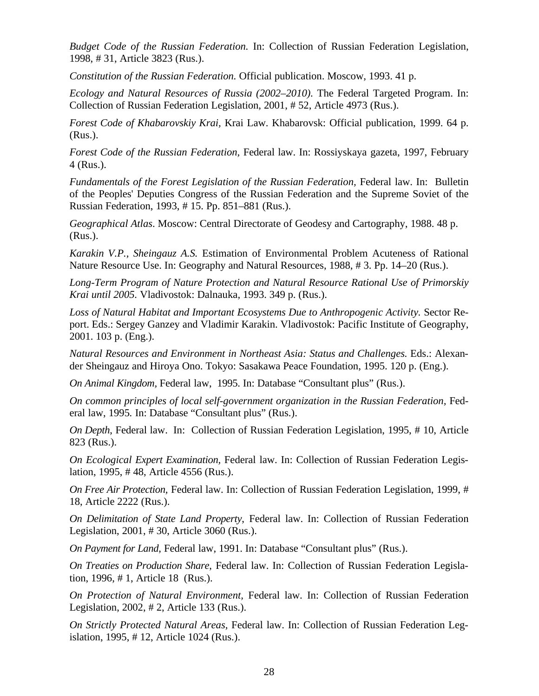*Budget Code of the Russian Federation.* In: Collection of Russian Federation Legislation, 1998, # 31, Article 3823 (Rus.).

*Constitution of the Russian Federation.* Official publication. Moscow, 1993. 41 p.

*Ecology and Natural Resources of Russia (2002–2010).* The Federal Targeted Program. In: Collection of Russian Federation Legislation, 2001, # 52, Article 4973 (Rus.).

*Forest Code of Khabarovskiy Krai,* Krai Law. Khabarovsk: Official publication, 1999. 64 p. (Rus.).

*Forest Code of the Russian Federation,* Federal law. In: Rossiyskaya gazeta, 1997, February 4 (Rus.).

*Fundamentals of the Forest Legislation of the Russian Federation,* Federal law. In: Bulletin of the Peoples' Deputies Congress of the Russian Federation and the Supreme Soviet of the Russian Federation, 1993, # 15. Pp. 851–881 (Rus.).

*Geographical Atlas*. Moscow: Central Directorate of Geodesy and Cartography, 1988. 48 p. (Rus.).

*Karakin V.P., Sheingauz A.S.* Estimation of Environmental Problem Acuteness of Rational Nature Resource Use. In: Geography and Natural Resources, 1988, # 3. Pp. 14–20 (Rus.).

*Long-Term Program of Nature Protection and Natural Resource Rational Use of Primorskiy Krai until 2005.* Vladivostok: Dalnauka, 1993. 349 p. (Rus.).

Loss of Natural Habitat and Important Ecosystems Due to Anthropogenic Activity. Sector Report. Eds.: Sergey Ganzey and Vladimir Karakin. Vladivostok: Pacific Institute of Geography, 2001. 103 p. (Eng.).

*Natural Resources and Environment in Northeast Asia: Status and Challenges.* Eds.: Alexander Sheingauz and Hiroya Ono. Tokyo: Sasakawa Peace Foundation, 1995. 120 p. (Eng.).

*On Animal Kingdom,* Federal law, 1995. In: Database "Consultant plus" (Rus.).

*On common principles of local self-government organization in the Russian Federation,* Federal law, 1995*.* In: Database "Consultant plus" (Rus.).

*On Depth*, Federal law. In: Collection of Russian Federation Legislation, 1995, # 10, Article 823 (Rus.).

*On Ecological Expert Examination,* Federal law. In: Collection of Russian Federation Legislation, 1995, # 48, Article 4556 (Rus.).

*On Free Air Protection,* Federal law. In: Collection of Russian Federation Legislation, 1999, # 18, Article 2222 (Rus.).

*On Delimitation of State Land Property*, Federal law. In: Collection of Russian Federation Legislation, 2001, # 30, Article 3060 (Rus.).

*On Payment for Land*, Federal law, 1991. In: Database "Consultant plus" (Rus.).

*On Treaties on Production Share*, Federal law. In: Collection of Russian Federation Legislation, 1996, # 1, Article 18(Rus.).

*On Protection of Natural Environment,* Federal law. In: Collection of Russian Federation Legislation, 2002, # 2, Article 133 (Rus.).

*On Strictly Protected Natural Areas,* Federal law. In: Collection of Russian Federation Legislation, 1995, # 12, Article 1024 (Rus.).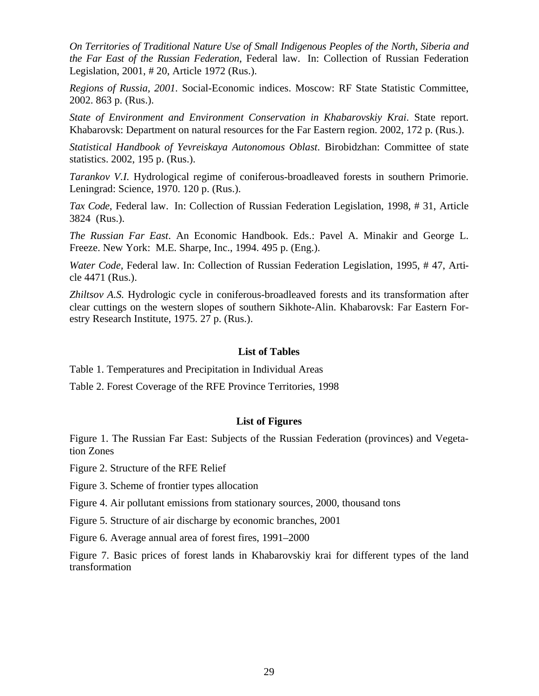*On Territories of Traditional Nature Use of Small Indigenous Peoples of the North, Siberia and the Far East of the Russian Federation*, Federal law. In: Collection of Russian Federation Legislation, 2001, # 20, Article 1972 (Rus.).

*Regions of Russia, 2001.* Social-Economic indices. Moscow: RF State Statistic Committee, 2002. 863 p. (Rus.).

*State of Environment and Environment Conservation in Khabarovskiy Krai*. State report. Khabarovsk: Department on natural resources for the Far Eastern region. 2002, 172 p. (Rus.).

*Statistical Handbook of Yevreiskaya Autonomous Oblast*. Birobidzhan: Committee of state statistics. 2002, 195 p. (Rus.).

*Tarankov V.I.* Hydrological regime of coniferous-broadleaved forests in southern Primorie. Leningrad: Science, 1970. 120 p. (Rus.).

*Tax Code*, Federal law. In: Collection of Russian Federation Legislation, 1998, # 31, Article 3824 (Rus.).

*The Russian Far East*. An Economic Handbook. Eds.: Pavel A. Minakir and George L. Freeze. New York: M.E. Sharpe, Inc., 1994. 495 p. (Eng.).

*Water Code,* Federal law. In: Collection of Russian Federation Legislation, 1995, # 47, Article 4471 (Rus.).

*Zhiltsov A.S.* Hydrologic cycle in coniferous-broadleaved forests and its transformation after clear cuttings on the western slopes of southern Sikhote-Alin. Khabarovsk: Far Eastern Forestry Research Institute, 1975. 27 p. (Rus.).

#### **List of Tables**

Table 1. Temperatures and Precipitation in Individual Areas

Table 2. Forest Coverage of the RFE Province Territories, 1998

#### **List of Figures**

Figure 1. The Russian Far East: Subjects of the Russian Federation (provinces) and Vegetation Zones

Figure 2. Structure of the RFE Relief

Figure 3. Scheme of frontier types allocation

Figure 4. Air pollutant emissions from stationary sources, 2000, thousand tons

Figure 5. Structure of air discharge by economic branches, 2001

Figure 6. Average annual area of forest fires, 1991–2000

Figure 7. Basic prices of forest lands in Khabarovskiy krai for different types of the land transformation